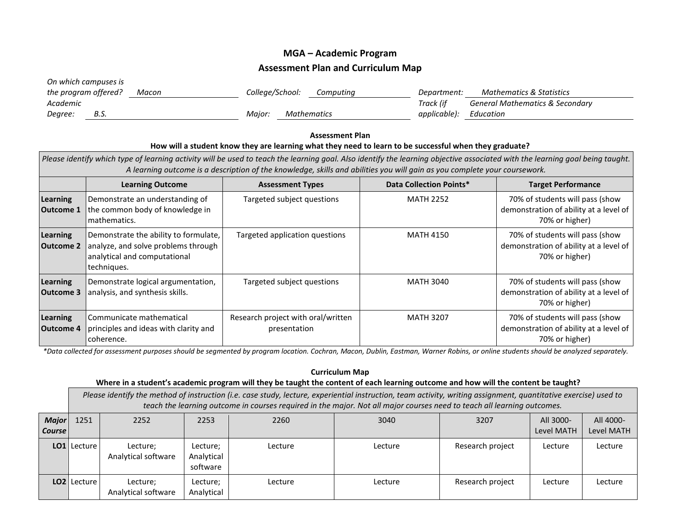## **MGA – Academic Program Assessment Plan and Curriculum Map**

| On which campuses is |       |                 |                              |             |                                            |
|----------------------|-------|-----------------|------------------------------|-------------|--------------------------------------------|
| the program offered? | Macon | College/School: | Computing                    | Department: | Mathematics & Statistics                   |
| Academic             |       |                 |                              | Track (if   | <b>General Mathematics &amp; Secondary</b> |
| B.S.<br>Degree:      |       |                 | Maior.<br><b>Mathematics</b> |             | Education                                  |

## **Assessment Plan How will a student know they are learning what they need to learn to be successful when they graduate?** *Please identify which type of learning activity will be used to teach the learning goal. Also identify the learning objective associated with the learning goal being taught. A learning outcome is a description of the knowledge, skills and abilities you will gain as you complete your coursework.* **Learning Outcome Assessment Types Data Collection Points\* Target Performance Learning Outcome 1** Demonstrate an understanding of the common body of knowledge in mathematics. Targeted subject questions MATH 2252 70% of students will pass (show demonstration of ability at a level of 70% or higher) **Learning Outcome 2** Demonstrate the ability to formulate, analyze, and solve problems through analytical and computational techniques. Targeted application questions MATH 4150 70% of students will pass (show demonstration of ability at a level of 70% or higher) **Learning Outcome 3** Demonstrate logical argumentation, analysis, and synthesis skills. Targeted subject questions MATH 3040 70% of students will pass (show demonstration of ability at a level of 70% or higher) **Learning Outcome 4** Communicate mathematical principles and ideas with clarity and coherence. Research project with oral/written presentation MATH 3207 10% of students will pass (show demonstration of ability at a level of 70% or higher)

*\*Data collected for assessment purposes should be segmented by program location. Cochran, Macon, Dublin, Eastman, Warner Robins, or online students should be analyzed separately.*

## **Curriculum Map**

## **Where in a student's academic program will they be taught the content of each learning outcome and how will the content be taught?**

*Please identify the method of instruction (i.e. case study, lecture, experiential instruction, team activity, writing assignment, quantitative exercise) used to teach the learning outcome in courses required in the major. Not all major courses need to teach all learning outcomes.*

| <b>Major</b><br><b>Course</b> | 1251        | 2252                            | 2253                               | 2260    | 3040    | 3207             | All 3000-<br>Level MATH | All 4000-<br>Level MATH |
|-------------------------------|-------------|---------------------------------|------------------------------------|---------|---------|------------------|-------------------------|-------------------------|
|                               | LO1 Lecture | Lecture;<br>Analytical software | Lecture;<br>Analytical<br>software | Lecture | Lecture | Research project | Lecture                 | Lecture                 |
|                               | LO2 Lecture | Lecture;<br>Analytical software | Lecture;<br>Analytical             | Lecture | Lecture | Research project | Lecture                 | Lecture                 |